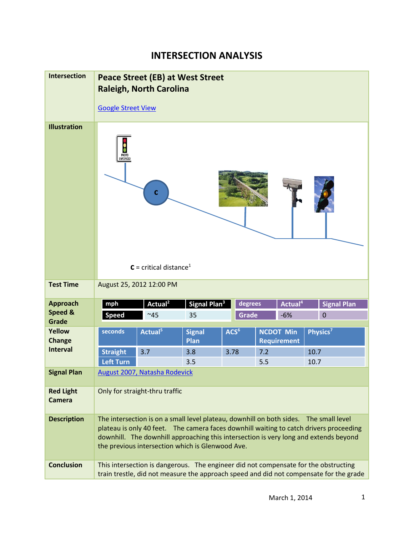## **INTERSECTION ANALYSIS**

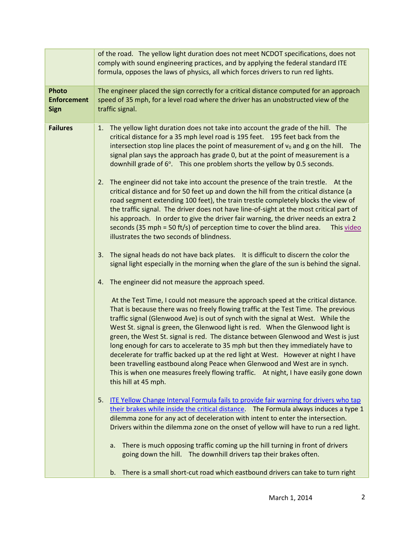|                                                   | of the road. The yellow light duration does not meet NCDOT specifications, does not<br>comply with sound engineering practices, and by applying the federal standard ITE<br>formula, opposes the laws of physics, all which forces drivers to run red lights.                                                                                                                                                                                                                                                                                                                                                                                                                                                                                                                                             |
|---------------------------------------------------|-----------------------------------------------------------------------------------------------------------------------------------------------------------------------------------------------------------------------------------------------------------------------------------------------------------------------------------------------------------------------------------------------------------------------------------------------------------------------------------------------------------------------------------------------------------------------------------------------------------------------------------------------------------------------------------------------------------------------------------------------------------------------------------------------------------|
| <b>Photo</b><br><b>Enforcement</b><br><b>Sign</b> | The engineer placed the sign correctly for a critical distance computed for an approach<br>speed of 35 mph, for a level road where the driver has an unobstructed view of the<br>traffic signal.                                                                                                                                                                                                                                                                                                                                                                                                                                                                                                                                                                                                          |
| <b>Failures</b>                                   | The yellow light duration does not take into account the grade of the hill. The<br>1.<br>critical distance for a 35 mph level road is 195 feet. 195 feet back from the<br>intersection stop line places the point of measurement of $v_0$ and g on the hill.<br>The<br>signal plan says the approach has grade 0, but at the point of measurement is a<br>downhill grade of 6°. This one problem shorts the yellow by 0.5 seconds.                                                                                                                                                                                                                                                                                                                                                                        |
|                                                   | The engineer did not take into account the presence of the train trestle. At the<br>2.<br>critical distance and for 50 feet up and down the hill from the critical distance (a<br>road segment extending 100 feet), the train trestle completely blocks the view of<br>the traffic signal. The driver does not have line-of-sight at the most critical part of<br>his approach. In order to give the driver fair warning, the driver needs an extra 2<br>seconds (35 mph = 50 ft/s) of perception time to cover the blind area.<br>This video<br>illustrates the two seconds of blindness.                                                                                                                                                                                                                |
|                                                   | The signal heads do not have back plates. It is difficult to discern the color the<br>3.<br>signal light especially in the morning when the glare of the sun is behind the signal.                                                                                                                                                                                                                                                                                                                                                                                                                                                                                                                                                                                                                        |
|                                                   | The engineer did not measure the approach speed.<br>4.                                                                                                                                                                                                                                                                                                                                                                                                                                                                                                                                                                                                                                                                                                                                                    |
|                                                   | At the Test Time, I could not measure the approach speed at the critical distance.<br>That is because there was no freely flowing traffic at the Test Time. The previous<br>traffic signal (Glenwood Ave) is out of synch with the signal at West. While the<br>West St. signal is green, the Glenwood light is red. When the Glenwood light is<br>green, the West St. signal is red. The distance between Glenwood and West is just<br>long enough for cars to accelerate to 35 mph but then they immediately have to<br>decelerate for traffic backed up at the red light at West. However at night I have<br>been travelling eastbound along Peace when Glenwood and West are in synch.<br>This is when one measures freely flowing traffic. At night, I have easily gone down<br>this hill at 45 mph. |
|                                                   | ITE Yellow Change Interval Formula fails to provide fair warning for drivers who tap<br>5.<br>their brakes while inside the critical distance. The Formula always induces a type 1<br>dilemma zone for any act of deceleration with intent to enter the intersection.<br>Drivers within the dilemma zone on the onset of yellow will have to run a red light.                                                                                                                                                                                                                                                                                                                                                                                                                                             |
|                                                   | There is much opposing traffic coming up the hill turning in front of drivers<br>a.<br>going down the hill. The downhill drivers tap their brakes often.                                                                                                                                                                                                                                                                                                                                                                                                                                                                                                                                                                                                                                                  |
|                                                   | b. There is a small short-cut road which eastbound drivers can take to turn right                                                                                                                                                                                                                                                                                                                                                                                                                                                                                                                                                                                                                                                                                                                         |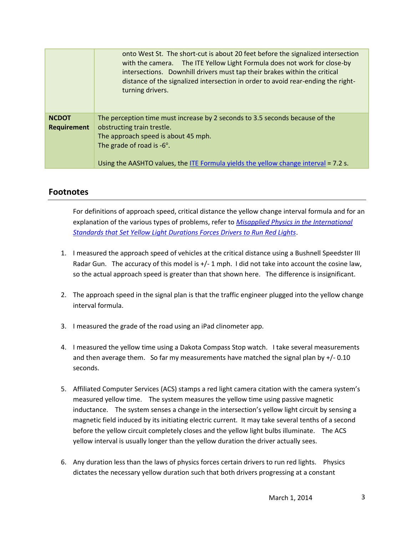|                                    | onto West St. The short-cut is about 20 feet before the signalized intersection<br>with the camera. The ITE Yellow Light Formula does not work for close-by<br>intersections. Downhill drivers must tap their brakes within the critical<br>distance of the signalized intersection in order to avoid rear-ending the right-<br>turning drivers. |
|------------------------------------|--------------------------------------------------------------------------------------------------------------------------------------------------------------------------------------------------------------------------------------------------------------------------------------------------------------------------------------------------|
| <b>NCDOT</b><br><b>Requirement</b> | The perception time must increase by 2 seconds to 3.5 seconds because of the<br>obstructing train trestle.<br>The approach speed is about 45 mph.<br>The grade of road is $-6^\circ$ .<br>Using the AASHTO values, the ITE Formula yields the yellow change interval = 7.2 s.                                                                    |

## **Footnotes**

For definitions of approach speed, critical distance the yellow change interval formula and for an explanation of the various types of problems, refer to *[Misapplied Physics in the International](http://redlightrobber.com/red/links_pdf/Misapplied-Physics-Red-Light-Cameras.pdf) [Standards that Set Yellow Light Durations Forces Drivers to Run Red Lights](http://redlightrobber.com/red/links_pdf/Misapplied-Physics-Red-Light-Cameras.pdf)*.

- 1. I measured the approach speed of vehicles at the critical distance using a Bushnell Speedster III Radar Gun. The accuracy of this model is  $+/-1$  mph. I did not take into account the cosine law, so the actual approach speed is greater than that shown here. The difference is insignificant.
- 2. The approach speed in the signal plan is that the traffic engineer plugged into the yellow change interval formula.
- 3. I measured the grade of the road using an iPad clinometer app.
- 4. I measured the yellow time using a Dakota Compass Stop watch. I take several measurements and then average them. So far my measurements have matched the signal plan by  $+/-0.10$ seconds.
- 5. Affiliated Computer Services (ACS) stamps a red light camera citation with the camera system's measured yellow time. The system measures the yellow time using passive magnetic inductance. The system senses a change in the intersection's yellow light circuit by sensing a magnetic field induced by its initiating electric current. It may take several tenths of a second before the yellow circuit completely closes and the yellow light bulbs illuminate. The ACS yellow interval is usually longer than the yellow duration the driver actually sees.
- 6. Any duration less than the laws of physics forces certain drivers to run red lights. Physics dictates the necessary yellow duration such that both drivers progressing at a constant